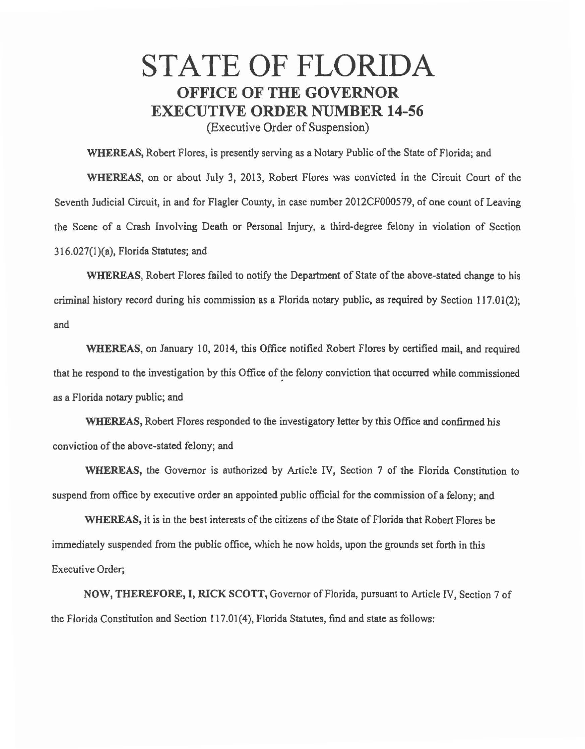## STATE OF FLORIDA OFFICE OF THE GOVERNOR EXECUTIVE ORDER NUMBER 14-56 (Executive Order of Suspension)

WHEREAS, Robert Flores, is presently serving as a Notary Public of the State of Florida; and

WHEREAS, on or about July 3, 2013, Robert Flores was convicted in the Circuit Court of the Seventh Judicial Circuit, in and for Flagler County, in case number 2012CF000579, of one count of Leaving the Scene of a Crash Involving Death or Personal Injury, a third-degree felony in violation of Section 316.027(1 )(a), Florida Statutes; and

WHEREAS, Robert Flores failed to notify the Department of State of the above-stated change to his criminal history record during his commission as a Florida notary public, as required by Section 117.01(2); and

WHEREAS, on January 10, 2014, this Office notified Robert Flores by certified mail, and required that he respond to the investigation by this Office of the felony conviction that occurred while commissioned as a Florida notary public; and

WHEREAS, Robert Flores responded to the investigatory letter by this Office and confirmed his conviction of the above-stated felony; and

WHEREAS, the Governor is authorized by Article IV, Section 7 of the Florida Constitution to suspend from office by executive order an appointed public official for the commission of a felony; and

WHEREAS, it is in the best interests of the citizens of the State of Florida that Robert Flores be immediately suspended from the public office, which he now holds, upon the grounds set forth in this Executive Order;

NOW, THEREFORE, I, RICK SCOTT, Governor of Florida, pursuant to Article IV, Section 7 of the Florida Constitution and Section 117.01 (4), Florida Statutes, find and state as follows: